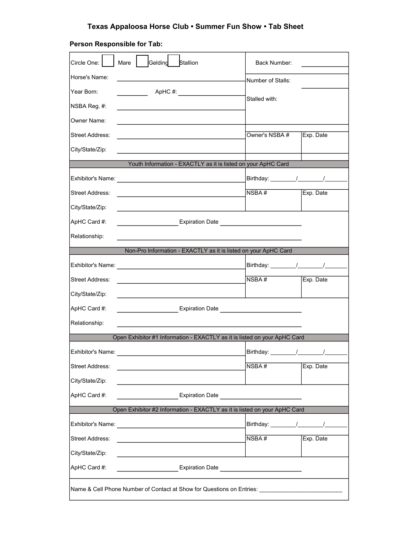## Texas Appaloosa Horse Club • **Summer Fun** Show • Tab Sheet

## **Person Responsible for Tab:**

| Circle One:<br>Mare                                                                                                                                                                                                                                 | Gelding Stallion<br>Back Number:<br><b>Service</b> |  |  |  |  |
|-----------------------------------------------------------------------------------------------------------------------------------------------------------------------------------------------------------------------------------------------------|----------------------------------------------------|--|--|--|--|
| Horse's Name:                                                                                                                                                                                                                                       | Number of Stalls:                                  |  |  |  |  |
| Year Born:                                                                                                                                                                                                                                          |                                                    |  |  |  |  |
| NSBA Reg. #:                                                                                                                                                                                                                                        | Stalled with:                                      |  |  |  |  |
| Owner Name:                                                                                                                                                                                                                                         |                                                    |  |  |  |  |
| <b>Street Address:</b>                                                                                                                                                                                                                              | Owner's NSBA #<br>Exp. Date                        |  |  |  |  |
| City/State/Zip:                                                                                                                                                                                                                                     |                                                    |  |  |  |  |
| Youth Information - EXACTLY as it is listed on your ApHC Card                                                                                                                                                                                       |                                                    |  |  |  |  |
|                                                                                                                                                                                                                                                     |                                                    |  |  |  |  |
| Street Address:<br><u> 1989 - Johann Stein, mars et al. 1990 - Anna ann an t-Anna ann an t-Anna ann an t-Anna ann an t-Anna ann an t-</u>                                                                                                           | NSBA#<br>Exp. Date                                 |  |  |  |  |
| City/State/Zip:<br>the control of the control of the control of the control of the control of                                                                                                                                                       |                                                    |  |  |  |  |
| ApHC Card #:                                                                                                                                                                                                                                        |                                                    |  |  |  |  |
| Relationship:                                                                                                                                                                                                                                       |                                                    |  |  |  |  |
| Non-Pro Information - EXACTLY as it is listed on your ApHC Card                                                                                                                                                                                     |                                                    |  |  |  |  |
|                                                                                                                                                                                                                                                     |                                                    |  |  |  |  |
| Street Address:                                                                                                                                                                                                                                     | NSBA#<br>Exp. Date                                 |  |  |  |  |
| City/State/Zip:                                                                                                                                                                                                                                     |                                                    |  |  |  |  |
| the control of the control of the control of the control of the control of                                                                                                                                                                          |                                                    |  |  |  |  |
| ApHC Card #:<br>Expiration Date <b>Access 1996</b> Contract Contract Design Contract Contract Contract Contract Contract Contract Contract Contract Contract Contract Contract Contract Contract Contract Contract Contract Contract Contract Contr |                                                    |  |  |  |  |
| Relationship:                                                                                                                                                                                                                                       |                                                    |  |  |  |  |
| Open Exhibitor #1 Information - EXACTLY as it is listed on your ApHC Card                                                                                                                                                                           |                                                    |  |  |  |  |
|                                                                                                                                                                                                                                                     | Birthday: _________/______________/                |  |  |  |  |
| Street Address:                                                                                                                                                                                                                                     | NSBA#<br>Exp. Date                                 |  |  |  |  |
| City/State/Zip:                                                                                                                                                                                                                                     |                                                    |  |  |  |  |
| ApHC Card #:<br>Expiration Date <b>Expiration</b> Date                                                                                                                                                                                              |                                                    |  |  |  |  |
| Open Exhibitor #2 Information - EXACTLY as it is listed on your ApHC Card                                                                                                                                                                           |                                                    |  |  |  |  |
|                                                                                                                                                                                                                                                     |                                                    |  |  |  |  |
| <b>Street Address:</b>                                                                                                                                                                                                                              | Exp. Date<br>NSBA#                                 |  |  |  |  |
| City/State/Zip:                                                                                                                                                                                                                                     |                                                    |  |  |  |  |
| ApHC Card #:<br><b>Expiration Date Expiration Date</b>                                                                                                                                                                                              |                                                    |  |  |  |  |